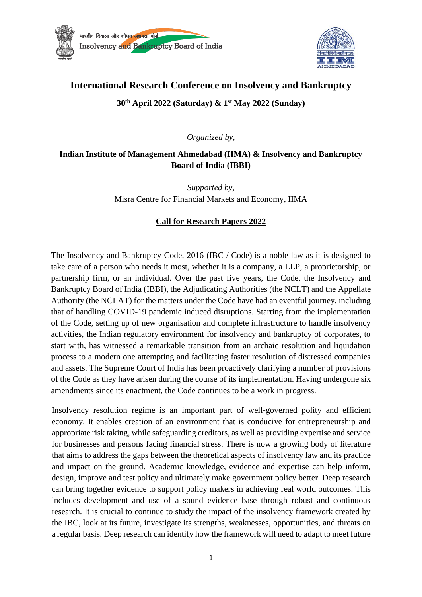



# **International Research Conference on Insolvency and Bankruptcy**

## **30th April 2022 (Saturday) & 1st May 2022 (Sunday)**

*Organized by,*

## **Indian Institute of Management Ahmedabad (IIMA) & Insolvency and Bankruptcy Board of India (IBBI)**

*Supported by,* Misra Centre for Financial Markets and Economy, IIMA

## **Call for Research Papers 2022**

The Insolvency and Bankruptcy Code, 2016 (IBC / Code) is a noble law as it is designed to take care of a person who needs it most, whether it is a company, a LLP, a proprietorship, or partnership firm, or an individual. Over the past five years, the Code, the Insolvency and Bankruptcy Board of India (IBBI), the Adjudicating Authorities (the NCLT) and the Appellate Authority (the NCLAT) for the matters under the Code have had an eventful journey, including that of handling COVID-19 pandemic induced disruptions. Starting from the implementation of the Code, setting up of new organisation and complete infrastructure to handle insolvency activities, the Indian regulatory environment for insolvency and bankruptcy of corporates, to start with, has witnessed a remarkable transition from an archaic resolution and liquidation process to a modern one attempting and facilitating faster resolution of distressed companies and assets. The Supreme Court of India has been proactively clarifying a number of provisions of the Code as they have arisen during the course of its implementation. Having undergone six amendments since its enactment, the Code continues to be a work in progress.

Insolvency resolution regime is an important part of well-governed polity and efficient economy. It enables creation of an environment that is conducive for entrepreneurship and appropriate risk taking, while safeguarding creditors, as well as providing expertise and service for businesses and persons facing financial stress. There is now a growing body of literature that aims to address the gaps between the theoretical aspects of insolvency law and its practice and impact on the ground. Academic knowledge, evidence and expertise can help inform, design, improve and test policy and ultimately make government policy better. Deep research can bring together evidence to support policy makers in achieving real world outcomes. This includes development and use of a sound evidence base through robust and continuous research. It is crucial to continue to study the impact of the insolvency framework created by the IBC, look at its future, investigate its strengths, weaknesses, opportunities, and threats on a regular basis. Deep research can identify how the framework will need to adapt to meet future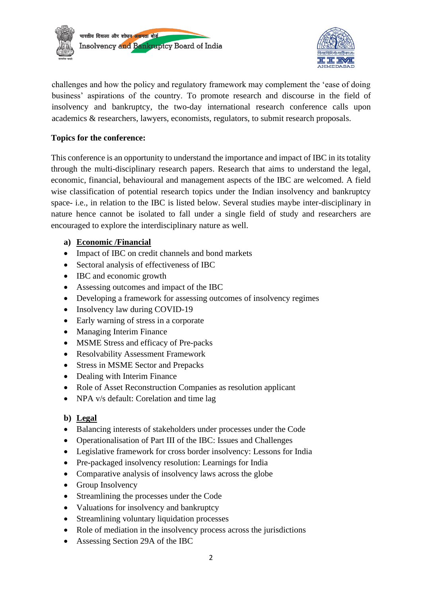



challenges and how the policy and regulatory framework may complement the 'ease of doing business' aspirations of the country. To promote research and discourse in the field of insolvency and bankruptcy, the two-day international research conference calls upon academics & researchers, lawyers, economists, regulators, to submit research proposals.

#### **Topics for the conference:**

This conference is an opportunity to understand the importance and impact of IBC in its totality through the multi-disciplinary research papers. Research that aims to understand the legal, economic, financial, behavioural and management aspects of the IBC are welcomed. A field wise classification of potential research topics under the Indian insolvency and bankruptcy space- i.e., in relation to the IBC is listed below. Several studies maybe inter-disciplinary in nature hence cannot be isolated to fall under a single field of study and researchers are encouraged to explore the interdisciplinary nature as well.

#### **a) Economic /Financial**

- Impact of IBC on credit channels and bond markets
- Sectoral analysis of effectiveness of IBC
- IBC and economic growth
- Assessing outcomes and impact of the IBC
- Developing a framework for assessing outcomes of insolvency regimes
- Insolvency law during COVID-19
- Early warning of stress in a corporate
- Managing Interim Finance
- MSME Stress and efficacy of Pre-packs
- Resolvability Assessment Framework
- Stress in MSME Sector and Prepacks
- Dealing with Interim Finance
- Role of Asset Reconstruction Companies as resolution applicant
- NPA v/s default: Corelation and time lag

## **b) Legal**

- Balancing interests of stakeholders under processes under the Code
- Operationalisation of Part III of the IBC: Issues and Challenges
- Legislative framework for cross border insolvency: Lessons for India
- Pre-packaged insolvency resolution: Learnings for India
- Comparative analysis of insolvency laws across the globe
- Group Insolvency
- Streamlining the processes under the Code
- Valuations for insolvency and bankruptcy
- Streamlining voluntary liquidation processes
- Role of mediation in the insolvency process across the jurisdictions
- Assessing Section 29A of the IBC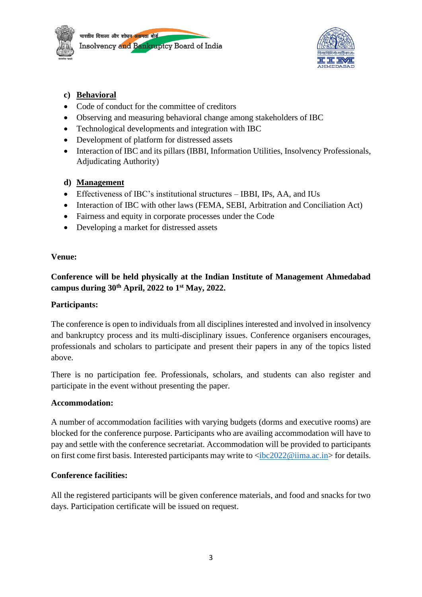



# **c) Behavioral**

- Code of conduct for the committee of creditors
- Observing and measuring behavioral change among stakeholders of IBC
- Technological developments and integration with IBC
- Development of platform for distressed assets
- Interaction of IBC and its pillars (IBBI, Information Utilities, Insolvency Professionals, Adjudicating Authority)

# **d) Management**

- Effectiveness of IBC's institutional structures IBBI, IPs, AA, and IUs
- Interaction of IBC with other laws (FEMA, SEBI, Arbitration and Conciliation Act)
- Fairness and equity in corporate processes under the Code
- Developing a market for distressed assets

#### **Venue:**

**Conference will be held physically at the Indian Institute of Management Ahmedabad campus during 30th April, 2022 to 1st May, 2022.** 

## **Participants:**

The conference is open to individuals from all disciplines interested and involved in insolvency and bankruptcy process and its multi-disciplinary issues. Conference organisers encourages, professionals and scholars to participate and present their papers in any of the topics listed above.

There is no participation fee. Professionals, scholars, and students can also register and participate in the event without presenting the paper.

## **Accommodation:**

A number of accommodation facilities with varying budgets (dorms and executive rooms) are blocked for the conference purpose. Participants who are availing accommodation will have to pay and settle with the conference secretariat. Accommodation will be provided to participants on first come first basis. Interested participants may write to  $\langle$ ibc2022@iima.ac.in> for details.

## **Conference facilities:**

All the registered participants will be given conference materials, and food and snacks for two days. Participation certificate will be issued on request.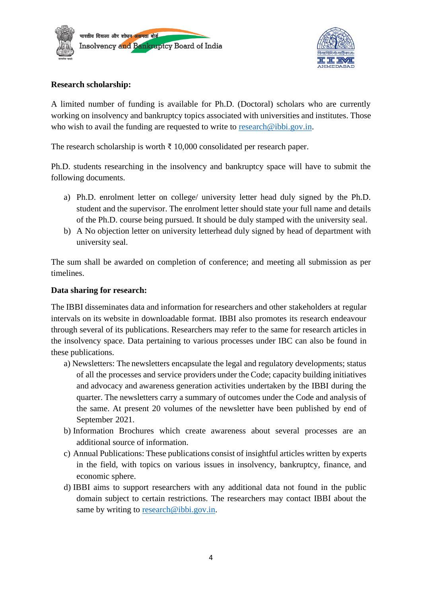



#### **Research scholarship:**

A limited number of funding is available for Ph.D. (Doctoral) scholars who are currently working on insolvency and bankruptcy topics associated with universities and institutes. Those who wish to avail the funding are requested to write to [research@ibbi.gov.in.](mailto:research@ibbi.gov.in)

The research scholarship is worth  $\bar{\tau}$  10,000 consolidated per research paper.

Ph.D. students researching in the insolvency and bankruptcy space will have to submit the following documents.

- a) Ph.D. enrolment letter on college/ university letter head duly signed by the Ph.D. student and the supervisor. The enrolment letter should state your full name and details of the Ph.D. course being pursued. It should be duly stamped with the university seal.
- b) A No objection letter on university letterhead duly signed by head of department with university seal.

The sum shall be awarded on completion of conference; and meeting all submission as per timelines.

#### **Data sharing for research:**

The IBBI disseminates data and information for researchers and other stakeholders at regular intervals on its website in downloadable format. IBBI also promotes its research endeavour through several of its publications. Researchers may refer to the same for research articles in the insolvency space. Data pertaining to various processes under IBC can also be found in these publications.

- a) Newsletters: The newsletters encapsulate the legal and regulatory developments; status of all the processes and service providers under the Code; capacity building initiatives and advocacy and awareness generation activities undertaken by the IBBI during the quarter. The newsletters carry a summary of outcomes under the Code and analysis of the same. At present 20 volumes of the newsletter have been published by end of September 2021.
- b) Information Brochures which create awareness about several processes are an additional source of information.
- c) Annual Publications: These publications consist of insightful articles written by experts in the field, with topics on various issues in insolvency, bankruptcy, finance, and economic sphere.
- d) IBBI aims to support researchers with any additional data not found in the public domain subject to certain restrictions. The researchers may contact IBBI about the same by writing to [research@ibbi.gov.in.](mailto:research@ibbi.gov.in)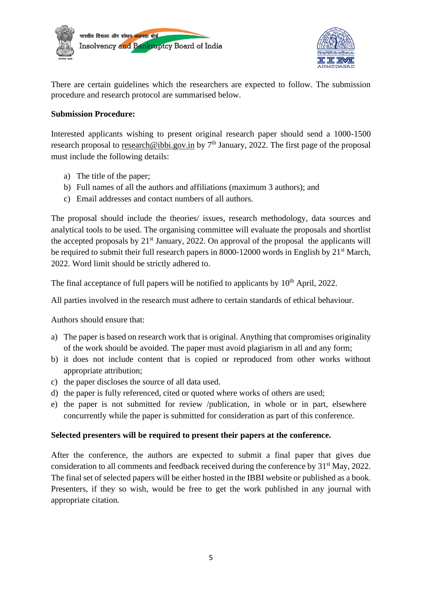



There are certain guidelines which the researchers are expected to follow. The submission procedure and research protocol are summarised below.

#### **Submission Procedure:**

Interested applicants wishing to present original research paper should send a 1000-1500 research proposal to [research@ibbi.gov.in](mailto:research@ibbi.gov.in) by 7<sup>th</sup> January, 2022. The first page of the proposal must include the following details:

- a) The title of the paper;
- b) Full names of all the authors and affiliations (maximum 3 authors); and
- c) Email addresses and contact numbers of all authors.

The proposal should include the theories/ issues, research methodology, data sources and analytical tools to be used. The organising committee will evaluate the proposals and shortlist the accepted proposals by 21<sup>st</sup> January, 2022. On approval of the proposal the applicants will be required to submit their full research papers in 8000-12000 words in English by 21<sup>st</sup> March, 2022. Word limit should be strictly adhered to.

The final acceptance of full papers will be notified to applicants by  $10<sup>th</sup>$  April, 2022.

All parties involved in the research must adhere to certain standards of ethical behaviour.

Authors should ensure that:

- a) The paper is based on research work that is original. Anything that compromises originality of the work should be avoided. The paper must avoid plagiarism in all and any form;
- b) it does not include content that is copied or reproduced from other works without appropriate attribution;
- c) the paper discloses the source of all data used.
- d) the paper is fully referenced, cited or quoted where works of others are used;
- e) the paper is not submitted for review /publication, in whole or in part, elsewhere concurrently while the paper is submitted for consideration as part of this conference.

#### **Selected presenters will be required to present their papers at the conference.**

After the conference, the authors are expected to submit a final paper that gives due consideration to all comments and feedback received during the conference by 31<sup>st</sup> May, 2022. The final set of selected papers will be either hosted in the IBBI website or published as a book. Presenters, if they so wish, would be free to get the work published in any journal with appropriate citation.